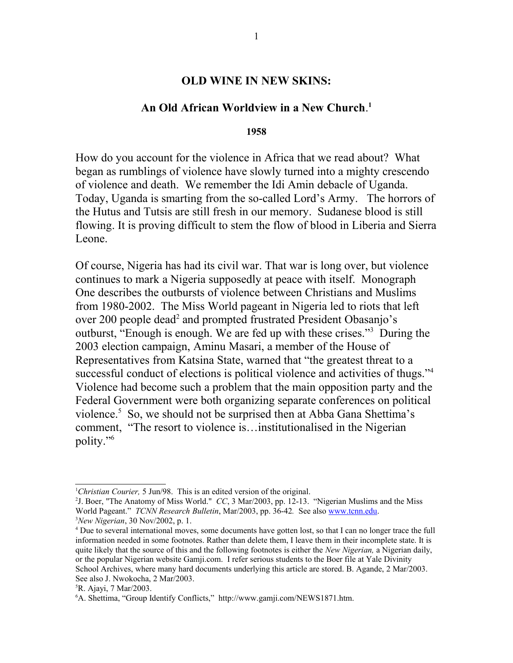#### **OLD WINE IN NEW SKINS:**

### **An Old African Worldview in a New Church**. **[1](#page-0-0)**

#### **1958**

How do you account for the violence in Africa that we read about? What began as rumblings of violence have slowly turned into a mighty crescendo of violence and death. We remember the Idi Amin debacle of Uganda. Today, Uganda is smarting from the so-called Lord's Army. The horrors of the Hutus and Tutsis are still fresh in our memory. Sudanese blood is still flowing. It is proving difficult to stem the flow of blood in Liberia and Sierra Leone.

Of course, Nigeria has had its civil war. That war is long over, but violence continues to mark a Nigeria supposedly at peace with itself. Monograph One describes the outbursts of violence between Christians and Muslims from 1980-2002. The Miss World pageant in Nigeria led to riots that left over [2](#page-0-1)00 people dead<sup>2</sup> and prompted frustrated President Obasanjo's outburst, "Enough is enough. We are fed up with these crises."[3](#page-0-2) During the 2003 election campaign, Aminu Masari, a member of the House of Representatives from Katsina State, warned that "the greatest threat to a successful conduct of elections is political violence and activities of thugs."[4](#page-0-3) Violence had become such a problem that the main opposition party and the Federal Government were both organizing separate conferences on political violence.<sup>[5](#page-0-4)</sup> So, we should not be surprised then at Abba Gana Shettima's comment, "The resort to violence is…institutionalised in the Nigerian polity."[6](#page-0-5)

<span id="page-0-0"></span><sup>1</sup>*Christian Courier,* 5 Jun/98. This is an edited version of the original.

<span id="page-0-1"></span><sup>2</sup> J. Boer, "The Anatomy of Miss World." *CC*, 3 Mar/2003, pp. 12-13. "Nigerian Muslims and the Miss World Pageant." *TCNN Research Bulletin*, Mar/2003, pp. 36-42*.* See also [www.tcnn.edu.](http://www.tcnn.edu/) <sup>3</sup>*New Nigerian*, 30 Nov/2002, p. 1.

<span id="page-0-3"></span><span id="page-0-2"></span><sup>&</sup>lt;sup>4</sup> Due to several international moves, some documents have gotten lost, so that I can no longer trace the full information needed in some footnotes. Rather than delete them, I leave them in their incomplete state. It is quite likely that the source of this and the following footnotes is either the *New Nigerian,* a Nigerian daily, or the popular Nigerian website Gamji.com. I refer serious students to the Boer file at Yale Divinity School Archives, where many hard documents underlying this article are stored. B. Agande, 2 Mar/2003. See also J. Nwokocha, 2 Mar/2003.

<span id="page-0-4"></span><sup>5</sup>R. Ajayi, 7 Mar/2003.

<span id="page-0-5"></span><sup>6</sup>A. Shettima, "Group Identify Conflicts," http://www.gamji.com/NEWS1871.htm.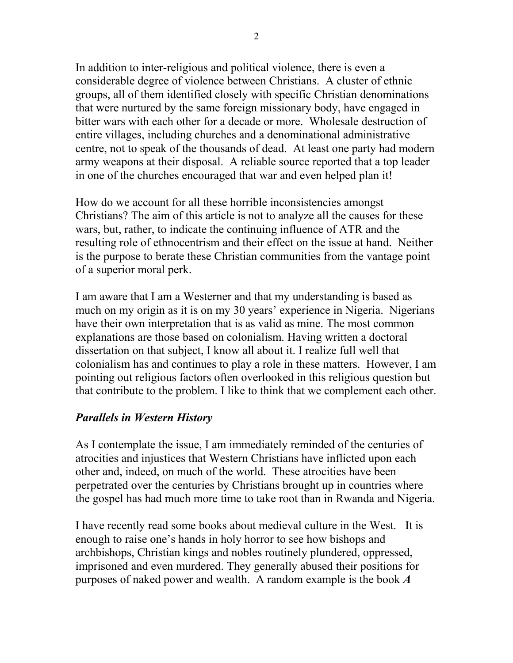In addition to inter-religious and political violence, there is even a considerable degree of violence between Christians. A cluster of ethnic groups, all of them identified closely with specific Christian denominations that were nurtured by the same foreign missionary body, have engaged in bitter wars with each other for a decade or more. Wholesale destruction of entire villages, including churches and a denominational administrative centre, not to speak of the thousands of dead. At least one party had modern army weapons at their disposal. A reliable source reported that a top leader in one of the churches encouraged that war and even helped plan it!

How do we account for all these horrible inconsistencies amongst Christians? The aim of this article is not to analyze all the causes for these wars, but, rather, to indicate the continuing influence of ATR and the resulting role of ethnocentrism and their effect on the issue at hand. Neither is the purpose to berate these Christian communities from the vantage point of a superior moral perk.

I am aware that I am a Westerner and that my understanding is based as much on my origin as it is on my 30 years' experience in Nigeria. Nigerians have their own interpretation that is as valid as mine. The most common explanations are those based on colonialism. Having written a doctoral dissertation on that subject, I know all about it. I realize full well that colonialism has and continues to play a role in these matters. However, I am pointing out religious factors often overlooked in this religious question but that contribute to the problem. I like to think that we complement each other.

# *Parallels in Western History*

As I contemplate the issue, I am immediately reminded of the centuries of atrocities and injustices that Western Christians have inflicted upon each other and, indeed, on much of the world. These atrocities have been perpetrated over the centuries by Christians brought up in countries where the gospel has had much more time to take root than in Rwanda and Nigeria.

I have recently read some books about medieval culture in the West. It is enough to raise one's hands in holy horror to see how bishops and archbishops, Christian kings and nobles routinely plundered, oppressed, imprisoned and even murdered. They generally abused their positions for purposes of naked power and wealth. A random example is the book *A*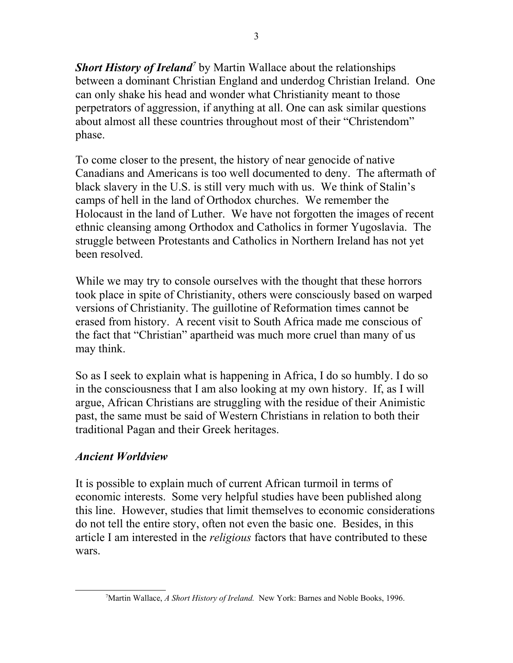Short History of Ireland<sup>[7](#page-2-0)</sup> by Martin Wallace about the relationships between a dominant Christian England and underdog Christian Ireland. One can only shake his head and wonder what Christianity meant to those perpetrators of aggression, if anything at all. One can ask similar questions about almost all these countries throughout most of their "Christendom" phase.

To come closer to the present, the history of near genocide of native Canadians and Americans is too well documented to deny. The aftermath of black slavery in the U.S. is still very much with us. We think of Stalin's camps of hell in the land of Orthodox churches. We remember the Holocaust in the land of Luther. We have not forgotten the images of recent ethnic cleansing among Orthodox and Catholics in former Yugoslavia. The struggle between Protestants and Catholics in Northern Ireland has not yet been resolved.

While we may try to console ourselves with the thought that these horrors took place in spite of Christianity, others were consciously based on warped versions of Christianity. The guillotine of Reformation times cannot be erased from history. A recent visit to South Africa made me conscious of the fact that "Christian" apartheid was much more cruel than many of us may think.

So as I seek to explain what is happening in Africa, I do so humbly. I do so in the consciousness that I am also looking at my own history. If, as I will argue, African Christians are struggling with the residue of their Animistic past, the same must be said of Western Christians in relation to both their traditional Pagan and their Greek heritages.

# *Ancient Worldview*

It is possible to explain much of current African turmoil in terms of economic interests. Some very helpful studies have been published along this line. However, studies that limit themselves to economic considerations do not tell the entire story, often not even the basic one. Besides, in this article I am interested in the *religious* factors that have contributed to these wars.

<span id="page-2-0"></span><sup>7</sup>Martin Wallace, *A Short History of Ireland.* New York: Barnes and Noble Books, 1996.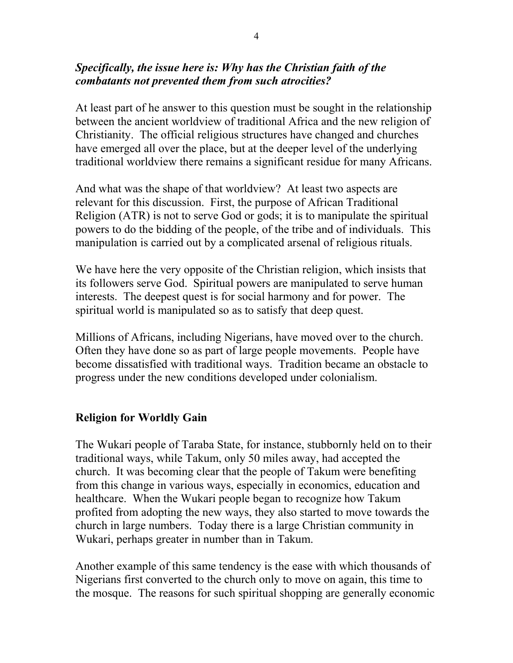## *Specifically, the issue here is: Why has the Christian faith of the combatants not prevented them from such atrocities?*

At least part of he answer to this question must be sought in the relationship between the ancient worldview of traditional Africa and the new religion of Christianity. The official religious structures have changed and churches have emerged all over the place, but at the deeper level of the underlying traditional worldview there remains a significant residue for many Africans.

And what was the shape of that worldview? At least two aspects are relevant for this discussion. First, the purpose of African Traditional Religion (ATR) is not to serve God or gods; it is to manipulate the spiritual powers to do the bidding of the people, of the tribe and of individuals. This manipulation is carried out by a complicated arsenal of religious rituals.

We have here the very opposite of the Christian religion, which insists that its followers serve God. Spiritual powers are manipulated to serve human interests. The deepest quest is for social harmony and for power. The spiritual world is manipulated so as to satisfy that deep quest.

Millions of Africans, including Nigerians, have moved over to the church. Often they have done so as part of large people movements. People have become dissatisfied with traditional ways. Tradition became an obstacle to progress under the new conditions developed under colonialism.

## **Religion for Worldly Gain**

The Wukari people of Taraba State, for instance, stubbornly held on to their traditional ways, while Takum, only 50 miles away, had accepted the church. It was becoming clear that the people of Takum were benefiting from this change in various ways, especially in economics, education and healthcare. When the Wukari people began to recognize how Takum profited from adopting the new ways, they also started to move towards the church in large numbers. Today there is a large Christian community in Wukari, perhaps greater in number than in Takum.

Another example of this same tendency is the ease with which thousands of Nigerians first converted to the church only to move on again, this time to the mosque. The reasons for such spiritual shopping are generally economic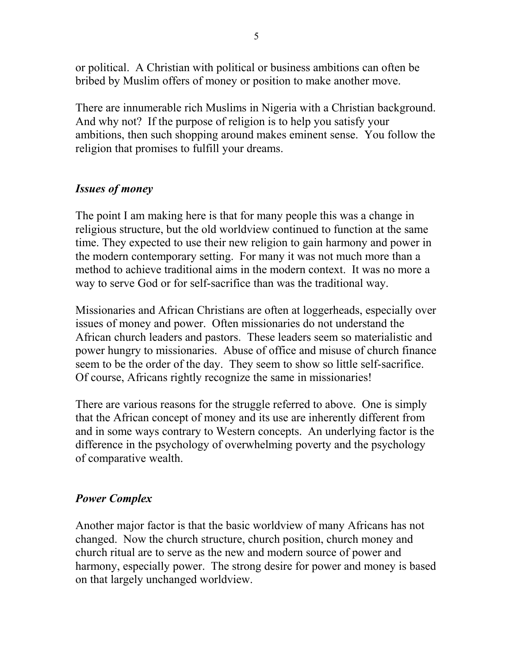or political. A Christian with political or business ambitions can often be bribed by Muslim offers of money or position to make another move.

There are innumerable rich Muslims in Nigeria with a Christian background. And why not? If the purpose of religion is to help you satisfy your ambitions, then such shopping around makes eminent sense. You follow the religion that promises to fulfill your dreams.

## *Issues of money*

The point I am making here is that for many people this was a change in religious structure, but the old worldview continued to function at the same time. They expected to use their new religion to gain harmony and power in the modern contemporary setting. For many it was not much more than a method to achieve traditional aims in the modern context. It was no more a way to serve God or for self-sacrifice than was the traditional way.

Missionaries and African Christians are often at loggerheads, especially over issues of money and power. Often missionaries do not understand the African church leaders and pastors. These leaders seem so materialistic and power hungry to missionaries. Abuse of office and misuse of church finance seem to be the order of the day. They seem to show so little self-sacrifice. Of course, Africans rightly recognize the same in missionaries!

There are various reasons for the struggle referred to above. One is simply that the African concept of money and its use are inherently different from and in some ways contrary to Western concepts. An underlying factor is the difference in the psychology of overwhelming poverty and the psychology of comparative wealth.

# *Power Complex*

Another major factor is that the basic worldview of many Africans has not changed. Now the church structure, church position, church money and church ritual are to serve as the new and modern source of power and harmony, especially power. The strong desire for power and money is based on that largely unchanged worldview.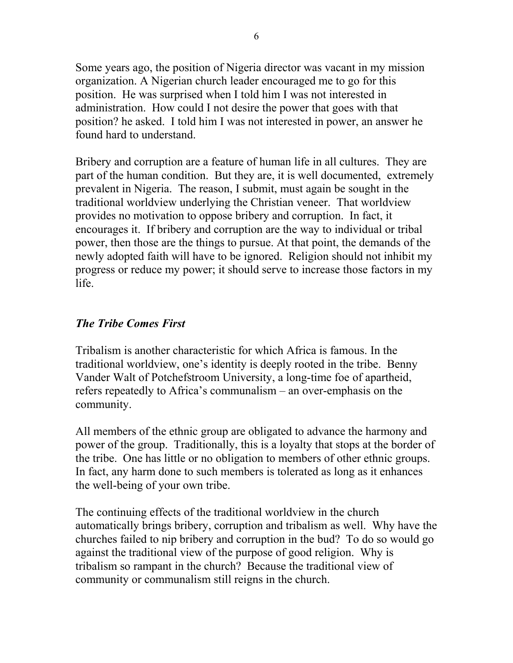Some years ago, the position of Nigeria director was vacant in my mission organization. A Nigerian church leader encouraged me to go for this position. He was surprised when I told him I was not interested in administration. How could I not desire the power that goes with that position? he asked. I told him I was not interested in power, an answer he found hard to understand.

Bribery and corruption are a feature of human life in all cultures. They are part of the human condition. But they are, it is well documented, extremely prevalent in Nigeria. The reason, I submit, must again be sought in the traditional worldview underlying the Christian veneer. That worldview provides no motivation to oppose bribery and corruption. In fact, it encourages it. If bribery and corruption are the way to individual or tribal power, then those are the things to pursue. At that point, the demands of the newly adopted faith will have to be ignored. Religion should not inhibit my progress or reduce my power; it should serve to increase those factors in my life.

# *The Tribe Comes First*

Tribalism is another characteristic for which Africa is famous. In the traditional worldview, one's identity is deeply rooted in the tribe. Benny Vander Walt of Potchefstroom University, a long-time foe of apartheid, refers repeatedly to Africa's communalism – an over-emphasis on the community.

All members of the ethnic group are obligated to advance the harmony and power of the group. Traditionally, this is a loyalty that stops at the border of the tribe. One has little or no obligation to members of other ethnic groups. In fact, any harm done to such members is tolerated as long as it enhances the well-being of your own tribe.

The continuing effects of the traditional worldview in the church automatically brings bribery, corruption and tribalism as well. Why have the churches failed to nip bribery and corruption in the bud? To do so would go against the traditional view of the purpose of good religion. Why is tribalism so rampant in the church? Because the traditional view of community or communalism still reigns in the church.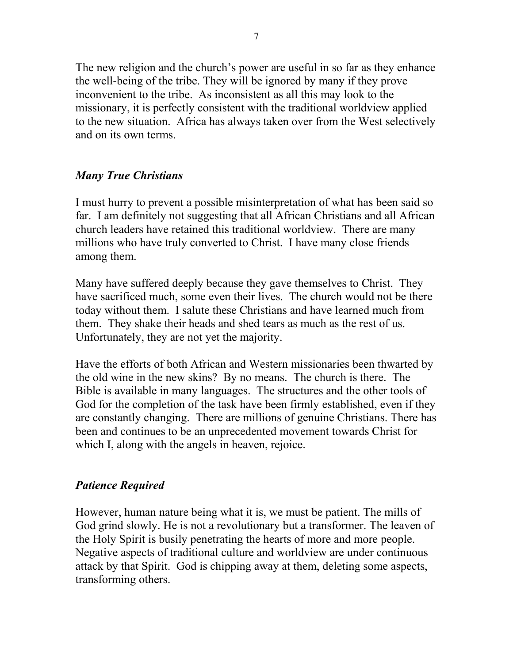The new religion and the church's power are useful in so far as they enhance the well-being of the tribe. They will be ignored by many if they prove inconvenient to the tribe. As inconsistent as all this may look to the missionary, it is perfectly consistent with the traditional worldview applied to the new situation. Africa has always taken over from the West selectively and on its own terms.

# *Many True Christians*

I must hurry to prevent a possible misinterpretation of what has been said so far. I am definitely not suggesting that all African Christians and all African church leaders have retained this traditional worldview. There are many millions who have truly converted to Christ. I have many close friends among them.

Many have suffered deeply because they gave themselves to Christ. They have sacrificed much, some even their lives. The church would not be there today without them. I salute these Christians and have learned much from them. They shake their heads and shed tears as much as the rest of us. Unfortunately, they are not yet the majority.

Have the efforts of both African and Western missionaries been thwarted by the old wine in the new skins? By no means. The church is there. The Bible is available in many languages. The structures and the other tools of God for the completion of the task have been firmly established, even if they are constantly changing. There are millions of genuine Christians. There has been and continues to be an unprecedented movement towards Christ for which I, along with the angels in heaven, rejoice.

# *Patience Required*

However, human nature being what it is, we must be patient. The mills of God grind slowly. He is not a revolutionary but a transformer. The leaven of the Holy Spirit is busily penetrating the hearts of more and more people. Negative aspects of traditional culture and worldview are under continuous attack by that Spirit. God is chipping away at them, deleting some aspects, transforming others.